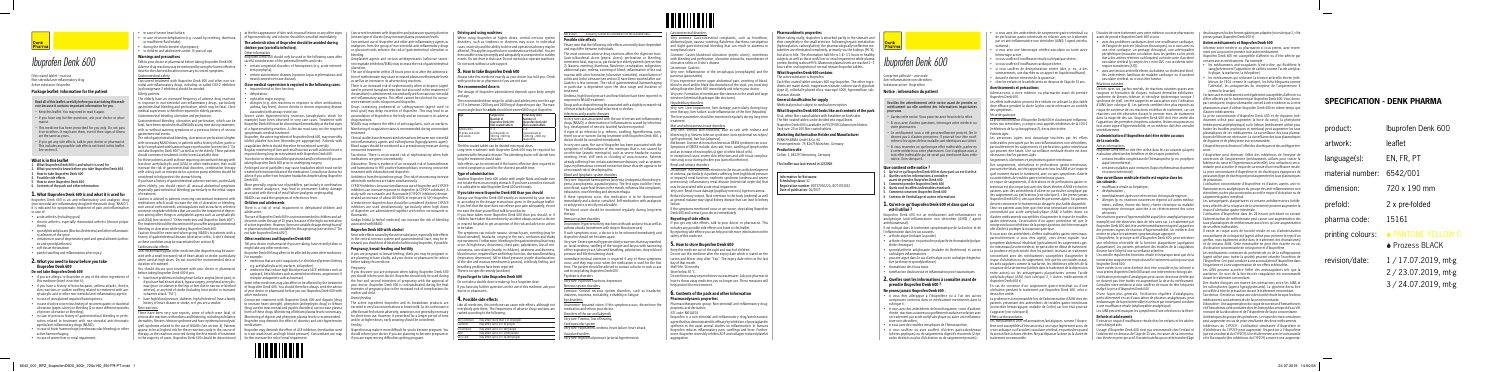

# *Ibuprofen Denk 600*

Film-coated tablet – oral use Non-steroidal anti-inflammatory drug Active substance: Ibuprofen

#### Package leaflet: Information for the patient

#### **Read all of this leaflet carefully before you start taking this medicine because it contains important information for you.**

- Keep this leaflet. You may need to read it again.
- If you have any further questions, ask your doctor or pharmacist.
- This medicine has been prescribed for you only. Do not pass it on to others. It may harm them, even if their signs of illness are the same as yours.
- If you get any side effects, talk to your doctor or pharmacist. This includes any possible side effects not listed in this leaflet. See section 4.

#### What is in this leaflet

- acute arthritis (including gout)
- chronic arthritis, especially rheumatoid arthritis (chronic polyarthritis)
- spondylitis ankylosans (Morbus Bechterew) and other inflammatory ailments of the spine
- irritations in case of degenerative joint and spinal ailments (arthrosis and spondylarthrosis)
- soft tissue rheumatism
- painful swelling and inflammation after injury
- **1. What Ibuprofen Denk 600 is and what it is used for**
- **2. What you need to know before you take Ibuprofen Denk 600 3. How to take Ibuprofen Denk 600**
- **4. Possible side effects**
- **5. How to store Ibuprofen Denk 600**
- **6. Contents of the pack and other information**

#### ${\boldsymbol{1}}.$  What Ibuprofen Denk 600 is and what it is used for

Ibuprofen Denk 600 is an anti-inflammatory and analgesic drug (non-steroidal anti-inflammatory drug/anti-rheumatic drug "NSAID"). It is indicated for symptomatic treatment of pain and inflammation in case of:

#### 2. What you need to know before you take Ibuprofen Denk 600

#### Do not take Ibuprofen Denk 600

- if you are allergic to ibuprofen or any of the other ingredients of this medicine (listed in section 6);
- if you have a history of bronchospasm, asthma attacks, rhinitis, skin reactions or sudden swelling related to treatment with acetylsalicylic acid or other non-steroidal anti-inflammatory agents;
- in case of unexplained impaired haemopoiesis;
- in case of active or previous history of recurrent gastric or duodenal ulceration (peptic ulcers) or bleeding (2 or more different episodes of proven ulceration or bleeding);
- in case of previous history of gastrointestinal bleeding or perforation related to treatment with non-steroidal anti-rheumatic agents/anti-inflammatory drugs (NSAID);
- in case of brain haemorrhage (cerebrovascular bleeding) or other active haemorrhaging;
- in case of severe liver or renal impairment

Caution is advised in patients receiving concomitant treatment with  $\quad$ medications which could increase the risk of ulceration or bleeding, such as oral corticosteroids, anticoagulants such as warfarin, selective serotonin-reuptake inhibitors that are used in the treatment of depression among other things or antiplatelet agents such as acetylsalicylic acid (ASA) (see section 2 "Other medicines and Ibuprofen Denk 600"). The treatment should be discontinued if you suffer any gastrointestinal bleeding or ulceration while taking Ibuprofen Denk 600.

- in case of severe heart failure;
- in case of severe dehydration (e.g. caused by vomiting, diarrhoea or insufficient fluid intake);
- during the third trimester of pregnancy;
- in children and adolescents under 15 years of age.

### Warnings and precautions

Talk to your doctor or pharmacist before taking Ibuprofen Denk 600. Adverse drug reactions may be minimised by using the lowest effective dose for the shortest duration necessary to control symptoms. Gastrointestinal safety

Concurrent treatment with Ibuprofen Denk 600 and other non-steroidal anti-inflammatory drugs, including so-called COX-2 inhibitors (cyclooxigenase-2 inhibitors) should be avoided. *Elderly patients:*

The elderly have an increased frequency of adverse drug reactions in response to non-steroidal anti-inflammatory drugs, particularly gastrointestinal bleeding and perforation, which may be fatal. Close medical supervision is therefore required in elderly patients.

*Gastrointestinal bleeding, ulceration and perforation:* Gastrointestinal bleeding, ulceration and perforation, which can be fatal, have been reported with all NSAIDs at any time during treatment, with or without warning symptoms or a previous history of serious gastrointestinal events.

- impaired renal or liver function;
- dehydration;
- right after major surgery
- allergies (e.g. skin reactions in response to other medications, asthma, hay fever), chronic rhinitis or chronic respiratory disease

The risk of gastrointestinal bleeding, ulceration or perforation is higher with increasing NSAID doses, in patients with a history of ulcer, particularly if complicated with haemorrhage or perforation (see section 2 "Do not take Ibuprofen Denk 600") as well as in the elderly. These patients should commence treatment on the lowest available dose.

> treated with increased doses of the medication. Consult your doctor for advice if you suffer from frequent headaches despite taking Ibuprofen Denk 600

For these patients as well as those requiring concomitant therapy with low-dose acetylsalicylic acid (ASA) or other medications that could increase the risk of gastrointestinal disorders, combination therapy with a drug such as misoprostol or a proton pump inhibitor should be considered to help protect the stomach lining.

If you have a history of gastrointestinal adverse reactions, particularly (especially gastrointestinal bleeding) particularly in the initial stages of treatment.

arteries), or any kind of stroke (including 'mini-stroke' or transient or your doctor or pharmacist before you use Ibuprofen Denk 600 with Some other medicines may also affect or be affected by the treatment of Ibuprofen Denk 600. You should therefore always seek the advice other medicines.

There have been very rare reports, some of which were fatal, of levels of these drugs. Monitoring of lithium plasma levels is necessary. serious skin reactions with redness and blistering, including exfoliative Monitoring of digoxin and phenytoin plasma levels is recommended. dermatitis, Stevens-Johnson syndrome and toxic epidermal necrolysis/ Ibuprofen may diminish the effect of diuretics and anti-hypertensive Lyell syndrome related to the use of NSAIDs (see section 4). Patients medications. appear to be at highest risk for these reactions early in the course of Ibuprofen may diminish the effect of ACE inhibitors (medication used therapy, as the reactions occurred during the first month of treatment | to treat weak heart and high blood pressure). Concomitant use may in the majority of cases. Ibuprofen Denk 600 should be discontinued further increase the risk of renal impairment.

Caution should be exercised when giving NSAIDs to patients with a not take Ibuprofen Denk 600"). history of gastrointestinal disease (ulcerative colitis, Crohn's disease) as these conditions may be exacerbated (see section 4).

#### Cardiovascular effects

Anti-inflammatory/pain-killer medicines like ibuprofen may be associated with a small increased risk of heart attack or stroke, particularly when used at high doses. Do not exceed the recommended dose or duration of treatment.

You should discuss your treatment with your doctor or pharmacist before taking Ibuprofen Denk 600 if you:

There is an increased risk of nephrotoxicity when ciclosporin (agent used to prevent transplant rejection but also used in the treatment of rheumatism) is administered concomitantly with certain non-steroidal anti-inflammatory agents. This effect cannot be ruled out for concurrent treatment with ciclosporin and ibuprofen.

- have heart problems including heart failure, angina (chest pain), or if you have had a heart attack, bypass surgery, peripheral artery disease (poor circulation in the legs or feet due to narrow or blocked ischaemic attack "TIA").
- have high blood pressure, diabetes, high cholesterol, have a family  $\qquad$ history of heart disease or stroke, or if you are a smoker.

#### Skin reactions

when elderly, you should report all unusual abdominal symptoms More generally, regular use of painkillers, particularly in combination with several analgesics, may lead to permanent kidney damage associated with the risk of renal failure (analgesic nephropathy). NSAIDs can mask the symptoms of infection or fever.

at the first appearance of skin rash, mucosal lesions or any other signs Concurrent treatment with ibuprofen and potassium-sparing diuretics of hypersensitivity, and a doctor should be consulted immediately.

## The administration of ibuprofen should be avoided during chicken-pox (varicella infection).

#### Other information

nother and chi *Breast-feeding*

- Ibuprofen Denk 600 should only be used in the following cases after careful consideration of the potential benefits and risks:
- certain congenital disorders of hemopoiesis (e.g. acute intermittent porphyria);
- certain autoimmune diseases (systemic lupus erythematosus and mixed connective tissue disease).

#### Close medical supervision is required in the following cases:

associated with airway restriction. Severe acute hypersensitivity reactions (anaphylactic shock for example) have been observed in very rare cases. Treatment with Ibuprofen Denk 600 must be discontinued immediately at the first signs  $\alpha$  a hypersensitivity reaction. A clinician must carry out the required symptomatic medical treatment.

Ibuprofen, the active ingredient of Ibuprofen Denk 600, may reversibly inhibit platelet function (thrombocyte aggregation). Patients with coagulation defects should therefore be monitored carefully.

> Side effects can be minimised if the lowest effective dose required to control symptoms is used for the shortest possible time.

Regular monitoring of liver and renal function as well as blood count is required during long-term treatment with Ibuprofen Denk 600. Your doctor or dentist should be questioned and/or informed if you are

taking Ibuprofen Denk 600 prior to undergoing surgery. Prolonged use of painkillers may cause headaches which must not be

#### Children and adolescents

There is a risk of renal impairment in dehydrated children and adolescents.

The use of Ibuprofen Denk 600 is not recommended in children and adolescents under the age of 15 years, because of the high concentration of active ingredient. However, there are suitable dosage strengths and/ or pharmaceutical forms available for this age group (see section 2 "Do

#### Other medicines and Ibuprofen Denk 600

Tell your doctor or pharmacist if you are taking, have recently taken or might take any other medicines.

Ibuprofen Denk 600 may affect or be affected by some other medicines. For example:

 $\mu$ gs such as ibuprofen may be associated with a slightly increased risk of heart attacks (myocardial infarction) or strokes.

#### ions and parasitic diseases

- medicines that are anti-coagulants (i.e. thin blood/prevent clotting e.g. acetylsalicylic acid, warfarin, ticlopidine).
- medicines that reduce high blood pressure (ACE-inhibitors such as captopril, beta-blockers such as atenolol medicines, angiotensin-II receptor antagonists such as losartan).

Concurrent treatment with Ibuprofen Denk 600 and digoxin (drug to increase heart strength), phenytoin (antiepileptic drug) or lithium (drug used to treat mental and psychic disorders) can increase plasma



(certain type of diuretic) may increase plasma potassium levels.

Concomitant use of ibuprofen and other anti-inflammatory agents or analgesics from the group of non-steroidal anti-inflammatory drugs or glucocorticoids enhance the risk of gastrointestinal ulceration or bleeding.

> sorders of the ear and labyrinth *Very rare:* Tinnitus, loss of hearing.

Antiplatelet agents and certain antidepressants (selective serotonin-reuptake inhibitors/SSRIs) may increase the risk of gastrointestinal ulceration.

common: Gastrointestinal complaints, such as heartburn, abdominal pain, nausea, vomiting, flatulence, diarrhoea, constipation and slight gastrointestinal bleeding that can result in anaemia in exceptional cases.

The use of ibuprofen within 24 hours prior to or after the administration of methotrexate may cause increased plasma methotrexate levels as well as an increase in its adverse drug reactions.

Drugs containing probenecid or sulfinpyrazone (agent used to treat gout) may delay excretion of ibuprofen. This may lead to an accumulation of ibuprofen in the body and an increase in its adverse drug reactions.

NSAIDs may enhance the effect of anticoagulants, such as warfarin. Monitoring of coagulation status is recommended during concomitant treatment.

Clinical studies have demonstrated interactions between non-steroidal anti-inflammatory agents and sulfonylureas (hypoglycaemic agent). Blood sugars should be monitored as a precautionary measure during concurrent treatment.

> Keep this medicine out of the sight and reach of children. Do not use this medicine after the expiry date which is stated on the carton and blister strip after "Exp". The expiry date refers to the last Shelf life: 36 months. Store below 30 °C.

Tacrolimus: There is an increased risk of nephrotoxicity when both medications are given concomitantly.

Zidovudine: There is evidence of an increased risk of haemarthroses and haematoma in HIV positive haemophiliacs receiving concurrent treatment with zidovudine and ibuprofen.

> Do not throw away any medicines via wastewater. Ask your pharmacist how to throw away medicines you no longer use. These measures will help protect the environment.

Antibiotics from the quinolone group: The risk of seizures may increase when both medicines are taken simultaneously.

CYP2C9 inhibitors, because simultaneous use of ibuprofen and CYP2C9 inhibitors can increase exposure to ibuprofen (a CYP2C9 substrate). A study with voriconazole and fluconazole (CYP2C9 inhibitors) demonstrated an increase of about 80-100% in exposure to S(+)-ibuprofen A reduction in ibuprofen dose should be considered if potent CYP2C9 inhibitors are used simultaneously, particularly when high doses of ibuprofen are administered together with either voriconazole or fluconazole.

Ginkgo biloba (a herbal medicine) can increase the risk of bleeding associated with NSAID.

#### Ibuprofen Denk 600 with alcohol

Since side effects caused by the active substance, especially side effects in the central nervous system and gastrointestinal tract, may be increased, you should not drink alcohol while using ibuprofen, if possible.

**Production site** Göllstr. 1, 84529 Tittmoning, Germany

#### Pregnancy, breast-feeding and fertility

If you are pregnant or breast-feeding, think you may be pregnant or are planning to have a baby, ask your doctor or pharmacist for advice before taking this medicine.

#### *Pregnancy*

If you discover you are pregnant when taking Ibuprofen Denk 600 you should inform your doctor. Ibuprofen should only be used during the first and second trimesters of pregnancy with the approval of your doctor. Ibuprofen Denk 600 is contraindicated during the final trimester of pregnancy due to the increased risk of complications for

The active ingredient ibuprofen and its breakdown products are excreted in very low concentrations in breast milk. As it is not known to affect breast-fed infants adversely, weaning is not generally necessary for short-term use. However, if prescribed for a longer period of time and/or at higher doses, early weaning should be considered.

*Fertility*

wn: frequency cannot be estimated from the available data

Ibuprofen may make it more difficult for you to become pregnant. You should inform your doctor if you are planning to become pregnant or

if you are experiencing difficulties getting pregnant.

Driving and using machines

When using ibuprofen at higher doses, central nervous system disorders, such as tiredness or dizziness may occur. In individual cases, reactivity and the ability to drive and operate machinery may be affected. This applies in particular in combination with alcohol. You are then unable to react promptly and adequately to unexpected or sudden events. Do not drive in that case. Do not use tools or operate machines.

- si vous avez des antécédents de saignement gastro-intestinal ou de perforation gastro-intestinale en relation avec un traitement par un anti-inflammatoire non stéroïdien (AINS) / agent antirhumatismal ;
- si vous avez une hémorragie cérébro-vasculaire ou toute autre hémorragie active :

Do not work without a safe support. 3. How to take Ibuprofen Denk 600

Always take this medicine exactly as your doctor has told you. Check with your doctor or pharmacist if you are not sure.

The recommended dose is:

The dosage of ibuprofen administered depends upon body weight

and age.

The recommended dose range for adults and adolescents over the age of 15 is between 1200 mg and 2400 mg of ibuprofen per day. The maximum single dose for **adults** should not exceed 800 mg of ibuprofen.

**Age Single dose:**

**Number of Ibuprofen Denk 600 film-coated tablets** 

> Les personnes âgées sont davantage touchées par les effets indésirables provoqués par les anti-inflammatoires non stéroïdiens. particulièrement les saignements et perforations gastro-intestinaux qui peuvent être fatals. Une surveillance médicale étroite est donc

**Total daily dose: Number of Ibuprofen Denk 600 film-coated tablets** 

Adolescents ars and older and adults

½–1 (corresponds to 300 mg–600 mg ibuprofen)

2–4 (corresponds to 1200 mg–2400 mg ibuprofen)

The film-coated tablet can be divided into equal doses. Long-term treatment with Ibuprofen Denk 600 may be required for patients with rheumatic disease. The attending doctor will decide how

long the treatment should take.

Type of administration

Swallow Ibuprofen Denk 600 whole with ample fluids and make sure not to take them on an empty stomach. If you have a sensitive stomach it is advisable to take Ibuprofen Denk 600 with meals. If you take more Ibuprofen Denk 600 than you should Always use Ibuprofen Denk 600 exactly as instructed by your doctor or according to the dosage instructions given in the package leaflet. If you feel that the dose does not relieve your pain adequately, do not

increase the dose yourself but talk to your doctor.

If you have taken more Ibuprofen Denk 600 than you should, or if

or nearest hospital to get an opinion of the risk and advice on action

to be taken.

blood streaked), headache, ringing in the ears, confusion and shaky

sciousness, convulsions (mainly in children), weakness and dizziness, blood in urine, impaired liver and kidney function, decreased breathing

breathing problems have been reported. There is no specific remedy (antidote). If you forget to take Ibuprofen Denk 600 Do not take a double dose to make up for a forgotten dose. If you have any further questions on the use of this medicine, ask your de la varicelle. Autres informatio

doctor or pharmacist. 4. Possible side effects

Iunrofen Denk 600 ne doit être utilisé dans les cas suivants qu'après valuation attentive des bénéfices et des risques potentiels : • certains troubles congénitaux de l'hématopoïèse (p. ex. porphyrie

ertaines maladies auto-immunes (lupus érythémateux disse

Like all medicines, this medicine can cause side effects, although not

immédiatement après une intervention chirurgicale majeure • allergies (p. ex. réactions cutanées en réponse à d'autres médicaments, asthme, rhume des foins), rhinite chronique ou maladie respiratoire chronique associée à un rétrécissement des voies

ranked according to the following: Very common: may affect more than 1 in 10 people ommon: may affect up to 1 in 10 people Uncommon: may affect up to 1 in 100 people may affect up to 1 in 1,000 people Very rare: may affect up to 1 in 10,000 people

## Possible side effects

Please note that the following side effects are mostly dose-dependent and may differ between individuals.

The most common adverse drug reactions affect the digestive tract. Gastric/duodenal ulcers (peptic ulcers), perforation or bleeding, sometimes fatal, may occur, particularly in elderly patients (see section 2). Nausea, vomiting, diarrhoea, flatulence, constipation, indigestion, abdominal pain, melena, vomiting of blood, inflammation of the oral mucosa with ulcer formation (ulcerative stomatitis), exacerbation of colitis and Crohn's disease (see section 2) have been reported after use. Gastritis is less common. The risk of gastrointestinal haemorrhaging in particular is dependent upon the dose range and duration of treatment.

#### children have taken this medicine by accident always contact a doctor Immune system disorders

L'usage d'Ibuprofen Denk 600 n'est pas recommandé chez l'enfant et l'adolescent en dessous de l'âge de 15 ans, en raison de sa concentra- | (qui est un substrat du CYP2C9). Une étude menée avec le voriconazole tion élevée en principe actif. Il existe toutefois pour cette tranche d'âge let le fluconazole (des inhibiteurs du CYP2C9) a montré une augmenta-

The symptoms can include nausea, stomach pain, vomiting (may be If such symptoms occur, a doctor is to be informed immediately and eye movement. Furthermore, bleeding in the gastrointestinal tract may *Very rare*: Severe general hypersensitivity reactions that may manifest ibuprofen should not be taken again.

Oedema, high blood pressure and heart failure have been reported in response to NSAID treatment.

occur. At high doses, drowsiness, chest pain, palpitations, loss of con-as: facial oedema, swelling of the tongue and larynx with narrowing of the respiratory tract, laboured breathing, palpitations, drop in blood pressure and life-threatening shock.

(respiratory depression), fall in blood pressure, purple discolouration Immediate medical attention is required if any of these symptoms of the skin and mucous membranes (cyanosis), cold body feeling, and occur, and they may occur when the medication is used for the first day of that month. time. The patient should be advised to contact a doctor in such a case and to stop taking Ibuprofen Denk 600.

In *very rare* cases associated with the use of certain anti-inflammatory drugs (NSAID), a deterioration of inflammations caused by infections (e.g. development of necrotic fasciitis) has been reported. If signs of an infection (e.g. redness, swelling, hyperthermia, pair fever) occur or worsen during treatment with Ibuprofen Denk 600, a doctor should be consulted immediately.

cains autres médicaments sont également susceptibles d'affecter ou d'être affectés par le traitement par Ibuprofen Denk 600. Vous devez, par conséquent, toujours demander conseil à votre médecin ou à votre pharmacien avant d'utiliser Ibuprofen Denk 600 en même temps que d'autres médicaments.

everybody gets them. The frequencies of adverse drug reactions are medication and inform your doctor. Eye disorders *Uncommon*: Impaired vision. If this symptom occurs, discontinue the

In *very rare* cases, the use of ibuprofen has been associated with the symptoms of inflammation of the meninges that is not caused by n infection (aseptic meningitis), such as severe headache, nausea, vomiting, fever, stiff neck or clouding of consciousness. Patients already suffering from certain autoimmune diseases, such as systemic lupus erythematosus or mixed connective tissue disorder appear to be at increased risk of developing this.

#### ood and lymphatic system disorders

L'utilisation concomitante d'ibuprofène et d'autres agents anti-inflammatoires ou analgésiques du groupe des anti-inflammatoires non stéroïdiens ou des glucocorticoïdes accroît le risque d'ulcération ou de saignement gastro-intestinal

*Very rare*: Impaired haemopoiesis (anaemia, leukopenia, thrombocytopenia, pancytopenia, agranulocytosis). The first signs could be: fever, sore throat, superficial lesions in the mouth, influenza-like complaints exhaustion, nose bleeding and dermatorrhagia.

If these symptoms occur, this medication is to be discontinued immediately and a doctor consulted. Self-medication with analgesics or antipyretics is strictly not advisable.

> es médicaments contenant du probénécide ou de la sulfinpyrazone (agent utilisé pour traiter la goutte) peuvent retarder l'excrétion de .<br>buprofène. Ceci peut conduire à une accumulation d'ibuprofène dans l'organisme et à une augmentation de ses effets indésirables.

The blood count should be monitored regularly during long-term

therapy.

Les AINS peuvent accroître l'effet des anticoagulants tels que la warfarine. Un suivi de la fonction de coagulation est recommandé durant le traitement concomitant.

*Uncommon*: Hypersensitivity reactions with rash and pruritis as well as asthma attacks (sometimes with drop in blood pressure).

> acrolimus : Il existe un risque accru de toxicité rénale lorsque les deu médicaments sont administrés de façon concomitante.

Zidovudine : Une augmentation du risque de survenue d'hémarthrose et d'hématomes a été constatée chez les hémophiles séropositifs au VIH recevant de la zidovudine et de l'ibuprofène de façon concomitante.

Psychiatric disorders

*Very rare*: Psychotic reactions, depression. Nervous system disorders

*Common*: Central nervous system disorders, such as headache, dizziness, insomnia, excitability, irritability or fatigue.

Cardiovascular system *Very rare:* Palpitations, oedema, heart failure, heart attack.

Vascular disorders *Very rare:* High blood pressure (arterial hypertension).

#### rointestinal disorder

*Common*: Gastric/duodenal ulceration (peptic ulcers), sometimes with bleeding and perforation, ulcerative stomatitis, exacerbation of ulcerative colitis or Crohn's disease.

*Uncommon*: Gastritis

*Very rare*: Inflammation of the oesophagus (oesophagitis) and the pancreas (pancreatitis).

If you experience severe upper abdominal pain, vomiting of blood, blood in stool and/or black discolouration of the stool, you must stop taking Ibuprofen Denk 600 immediately and inform your doctor. *Very rare:* Formation of membrane-like stenoses in the small and large intestine (intestinal diaphragm-like strictures).

#### lepatobiliary disorders

*Very rare*: Liver impairment, liver damage, particularly during longterm therapy, liver failure, acute inflammation of the liver (hepatitis). The liver parameters should be monitored regularly during long-term treatment.

#### Skin and subcutaneous tissue disorders

*Very rare*: Serious skin reactions, such as rash with redness and blistering (e.g. Stevens-Johnson syndrome, toxic epidermal necrolysis/ Lyell syndrome), hair loss (alopecia).

*Not known*: A severe skin reaction known as DRESS syndrome can occur. Symptoms of DRESS include: skin rash, fever, swelling of lymph nodes and an increase of eosinophils (a type of white blood cells). In exceptional cases, severe skin infections and soft tissue complications may occur during chicken-pox (varicella infection). Renal and urinary disorders

*Uncommon*: Increased fluid retention in the tissues with development of oedema, particularly in patients suffering from high blood pressure or impaired renal function; nephrotic syndrome (oedema and severe proteinuria); inflammatory renal disease (interstitial nephritis) that may be associated with acute renal impairment. *Very rare*: Renal tissue damage (papillary necrosis), hyperuricaemia.

Reduced urinary output, fluid retention in the body (oedema) as well as general malaise may signal kidney disease that can lead to kidney failure.

If the symptoms mentioned occur or get worse, stop taking Ibuprofen Denk 600 and contact your doctor immediately.

#### Reporting of side effects

If you get any side effects, talk to your doctor or pharmacist. This includes any possible side effects not listed in this leaflet. By reporting side effects you can help provide more information on the safety of this medicine.

#### 5. How to store Ibuprofen Denk 600

#### 6. Contents of the pack and other information Pharmacodynamic properties

Pharmacotherapeutic group: Non-steroidal anti-inflammatory drug; propionic acid derivative; ATC code: M01AE01

Ibuprofen is a non-steroidal anti-inflammatory drug/antirheumation agent that has demonstrated its efficacy by inhibition of prostaglandin synthesis in the usual animal studies on inflammation. In humans ibuprofen reduces inflammatory pain, swellings and fever. Furthermore, ibuprofen reversibly inhibits ADP and collagen-induced platelet aggregation.

#### Pharmacokinetic properties

When taking orally, ibuprofen is absorbed partly in the stomach and then completely in the small intestine. Following hepatic metabolism (hydroxylation, carboxylation), the pharmacologically ineffective metabolites are eliminated completely, primarily via the kidneys (90 %), but also in bile. The elimination half-life is 1.8 –3.5 hours in healthy subjects as well as those with liver or renal impairment while plasma protein binding is about 99 %. Maximum plasma levels are reached 1–2 hours after oral ingestion of normal release ibuprofen tablets.

#### What Ibuprofen Denk 600 contains

The active substance is ibuprofen.

Each film-coated tablet contains 600 mg ibuprofen. The other ingredients are maize starch, magnesium stearate, sodium starch glycolate (type A), colloidal hydrated silica, macrogol 6000, hypromellose, talc, **Notice : information du patient** titanium dioxide.

#### General classification for supply

Medicinal product subject to medical prescription.

## What Ibuprofen Denk 600 looks like and contents of the pack

Oval, white film-coated tablets with breakline on both sides. The film-coated tablet can be divided into equal doses. Ibuprofen Denk 600 is available in PVC/PVDC/aluminium blisters.

Pack size: 20 or 100 film-coated tablets. Marketing Authorisation Holder and Manufacturer

DENK PHARMA GmbH & Co. KG Prinzregentenstr. 79, 81675 München, Germany

**This leaflet was last revised in 12/2018.**

#### **Information for Botswana**

**Scheduling status:** S2 **Registration number:** BOT1703022A, BOT1703022 **Date of publication:** 06/2017



# *Ibuprofen Denk 600* Comprimé pelliculé – voie orale

Anti-inflammatoire non stéroïdien Substance active : Ibuprofène

**Veuillez lire attentivement cette notice avant de prendre ce médicament car elle contient des informations importantes pour vous.**

- Gardez cette notice. Vous pourriez avoir besoin de la relire.
- Si vous avez d'autres questions, interrogez votre médecin ou votre pharmacien.
- Ce médicament vous a été personnellement prescrit. Ne le donnez pas à d'autres personnes. Il pourrait leur être nocif, même si les signes de leur maladie sont identiques aux vôtres.
- Si vous ressentez un quelconque effet indésirable, parlez-en à votre médecin ou votre pharmacien. Ceci s'applique aussi à tout effet indésirable qui ne serait pas mentionné dans cette notice. Voir rubrique 4.

#### Que contient cette notice ?

- **1. Qu'est-ce qu'Ibuprofen Denk 600 et dans quel cas est-il utilisé 2. Quelles sont les informations à connaître avant de prendre Ibuprofen Denk 600**
- **3. Comment prendre Ibuprofen Denk 600**
- **4. Quels sont les effets indésirables éventuels**
- **5. Comment conserver Ibuprofen Denk 600**
- **6. Contenu de l'emballage et autres informations**

#### 1. Qu'est-ce qu'Ibuprofen Denk 600 et dans quel cas est-il utilisé ?

Ibuprofen Denk 600 est un médicament anti-inflammatoire et analgésique (anti-inflammatoire non stéroïdien [AINS] / agent antirhumatismal).

Il est indiqué dans le traitement symptomatique de la douleur et de l'inflammation dans les cas suivants :

- arthrite aiguë (incluant la goutte)
- arthrite chronique, en particulier polyarthrite rhumatoïde (polyarthrite chronique)
- spondylarthrite ankylosante (maladie de Bechterew) et autres rachialgies inflammatoires
- poussée aiguë dans le cas d'arthralgie ou de rachialgie dégénérative (arthrose et spondylarthrose)
- rhumatisme des tissus mous
- tuméfaction douloureuse et inflammation post-traumatiques

#### 2. Quelles sont les informations à connaître avant de prendre Ibuprofen Denk 600 ?

#### Ne prenez jamais Ibuprofen Denk 600 :

- si vous êtes allergique à l'ibuprofène ou à l'un des autres composants contenus dans ce médicament mentionnés dans la rubrique  $6 \cdot$
- si vous avez des antécédents de bronchospasme, crises d'asthme, rhinite, réactions cutanées ou gonflement soudain en relation avec un traitement par acide acétylsalicylique ou autre anti-inflammatoire non stéroïdien ;
- si vous avez des troubles inexpliqués de l'hématopoïèse ;
- si vous souffrez ou avez souffert d'ulcères gastroduodénaux (ulcères peptiques) ou de saignements digestifs récurrents (2 épi-ils sont utilisés à doses élevées. Ne pas dépasser la dose ou la durée de sodes distincts ou plus d'ulcération ou de saignement prouvés) ;
- si vous souffrez d'insuffisance rénale ou hépatique sévère ;
- si vous souffrez d'insuffisance cardiaque sévère ; • si vous souffrez de déshydratation sévère (due, p. ex., à des

vomissements, une diarrhée ou un apport en liquide insuffisant) ;

• durant le dernier trimestre de la grossesse ;

• chez les enfants et les adolescents en dessous de l'âge de 15 ans.

Avertissements et précautions

Adressez-vous à votre médecin ou pharmacien avant de prendre

Ibuprofen Denk 600.

Les effets indésirables peuvent être réduits en utilisant la plus faible dose efficace pendant la durée la plus courte nécessaire au contrôle

des symptômes. Sécurité gastrique

La prise concomitante d'Ibuprofen Denk 600 et d'autres anti-inflammatoires non stéroïdiens, y compris ceux appelés inhibiteurs de la COX-2 (inhibiteurs de la cyclooxygénase-2), devra être évitée.

*Patients âgés :*

nécessaire chez les patients âgés.

*Saignements, ulcérations et perforations gastro-intestinaux :* Des saignements, ulcérations et perforations gastro-intestinaux, pouvant être fatals, ont été rapportés avec tous les AINS et à n'importe quel moment durant le traitement, avec ou sans symptômes d'alerte ou antécédents de troubles gastro-intestinaux graves.

Le risque de saignements, d'ulcérations et de perforations gastro-intestinaux est plus important avec des doses élevées d'AINS et chez les patients avec des antécédents d'ulcère en particulier compliqué par des saignements ou perforations (voir rubrique 2, « Ne prenez jamai Ibuprofen Denk 600 »), ainsi que chez les personnes âgées. Ces patients doivent commencer le traitement au dosage le plus faible disponible. Chez ces patients aussi bien que chez ceux nécessitant un traitement concomitant par acide acétylsalicylique (AAS) à faibles doses ou d'autres médicaments susceptibles d'augmenter le risque de troubles gastro-intestinaux, l'association d'un agent protecteur tel que le misoprostol ou un inhibiteur de la pompe à protons doit être envisagée

afin d'aider à protéger la muqueuse gastrique.

Si vous avez des antécédents d'effets indésirables gastro-intestinaux, particulièrement si vous êtes âgé(e), vous devez signaler tout symptôme abdominal inhabituel (spécialement les saignements gastro-intestinaux) à votre médecin, en particulier en début de traitement. La prudence est préconisée chez les patients recevant un traitement concomitant avec des médicaments susceptibles d'augmenter le risque d'ulcération ou de saignement, tels que les corticoïdes oraux les anticoagulants comme la warfarine, les inhibiteurs sélectifs de la recapture de la sérotonine (utilisés dans le traitement de la dépression entre autres) ou les antiagrégants plaquettaires comme l'acide acétylsalicylique (AAS) (voir rubrique 2, « Autres médicaments et

Ibuprofen Denk 600 »).

En cas de survenue d'un saignement gastro-intestinal ou d'une ulcération pendant le traitement par Ibuprofen Denk 600, celui-ci

devra être arrêté.

La prudence est recommandée lors de l'administration d'AINS chez des patients présentant des antécédents de troubles gastro-intestinaux (rectocolite hémorragique, maladie de Crohn) car leur état pourrait

s'aggraver (voir rubrique 4). Effets cardiovasculaires

Les médicaments anti-inflammatoires/antalgiques comme l'ibuprofène sont susceptibles d'être associés à un risque légèrement accru de crise cardiaque ou d'accident vasculaire cérébral, en particulier quand

traitement recommandée.

Discutez de votre traitement avec votre médecin ou votre pharmacien avant de prendre Ibuprofen Denk 600 si vous :

• avez des problèmes cardiaques dont une insuffisance cardiaque, de l'angine de poitrine (douleurs thoraciques), ou si vous avez eu une crise cardiaque, un pontage chirurgical, une artériopathie périphérique (mauvaise circulation dans les jambes ou les pieds due à des artères rétrécies ou bloquées) ou toute sorte d'accident vasculaire cérébral (y compris les « mini-AVC » ou accidents isché-

miques transitoires (AIT)).

• avez une tension artérielle élevée, du diabète, un cholestérol élevé, des antécédents familiaux de maladie cardiaque ou d'accident vasculaire cérébral, ou si vous êtes fumeur.

Réactions cutanées

De très rares cas, parfois mortels, de réactions cutanées graves avec rougeurs et formation de cloques, incluant dermatite exfoliative, syndrome de Stevens-Johnson et nécrolyse épidermique toxique / syndrome de Lyell, ont été rapportés en association avec l'utilisation d'AINS (voir rubrique 4). Les patients semblent être plus exposés au risque de survenue de ces réactions en début de traitement, car ces réactions ont été observées durant le premier mois de traitement dans la majorité des cas. Ibuprofen Denk 600 doit être arrêté dès l'apparition des premières éruptions cutanées, lésions muqueuses ou tout autre signe d'hypersensibilité, et un médecin doit être consulté

immédiatement.

#### L'administration d'ibuprofène doit être évitée au cours

aiguë intermittente) ;

et connectivite mixte).

#### Une surveillance médicale étroite est requise dans les

cas suivants :

• insuffisance rénale ou hépatique ; • déshydratation ;

aériennes.

Des réactions graves d'hypersensibilité aiguë (choc anaphylactique par exemple) ont été observées dans de très rares cas. Le traitement par Ibuprofen Denk 600 doit être arrêté immédiatement après l'apparition des premiers signes de réaction d'hypersensibilité. Un médecin doit mettre en place le traitement symptomatique approprié.

L'ibuprofène, le principe actif d'Ibuprofen Denk 600, peut entraîner une inhibition réversible de la fonction plaquettaire (agrégation plaquettaire). Les patients présentant des troubles de la coagulation doivent faire l'objet d'une surveillance attentive.

Un contrôle régulier des fonctions rénale et hépatique ainsi que de la numération sanguine est requis durant le traitement au long cours par

Ibuprofen Denk 600.

Votre médecin ou votre dentiste doit être consulté et/ou informé si vous prenez Ibuprofen Denk 600 avant une intervention chirurgicale. L'utilisation prolongée d'antalgiques peut causer des maux de tête qui ne doivent pas être traités en augmentant la dose du médicament. Consultez votre médecin si vous souffrez de maux de tête fréquents

malgré la prise d'Ibuprofen Denk 600.

D'une façon plus générale, l'utilisation régulière d'antalgiques, particulièrement en cas d'association de plusieurs analgésiques, peut endommager de façon irréversible les reins et par conséquent conduire à une insuffisance rénale (néphropathie analgésique). Les AINS peuvent masquer les symptômes d'une infection ou la fièvre.

Enfants et adolescents

Il existe un risque d'insuffisance rénale chez les enfants et les adoles-

cents déshydratés.

des dosages et/ou des formes galéniques adaptés (voir rubrique 2, « Ne prenez jamais Ibuprofen Denk 600 »).

#### Autres médicaments et Ibuprofen Denk 600

Informez votre médecin ou pharmacien si vous prenez, avez récemment pris ou pourriez prendre tout autre médicament.

Ibuprofen Denk 600 est susceptible d'affecter ou d'être affecté par certains autres médicaments. Par exemple :

- les médicaments anti-coagulants (c'est-à-dire, qui fluidifient le sang/préviennent l'apparition de caillots comme l'acide acétylsalicylique, la warfarine, la ticlopidine)
- les médicaments qui réduisent la tension artérielle élevée (inhibiteurs de l'ECA comme le captopril, les bêta-bloquants comme l'aténolol, les antagonistes du récepteur de l'angiotensine II comme le losartan).

La prise concomitante d'Ibuprofen Denk 600 et de digoxine (mélicament utilisé pour augmenter la force du cœur), la phénytoïne dicament antiépileptique) ou le lithium (médicament utilisé pou traiter les troubles psychiques et mentaux) peut augmenter les taux lasmatiques de ces médicaments. La surveillance des taux plasmaues de lithium est nécessaire. La surveillance des taux plasmatiques de digoxine et de phénytoïne est recommandée.

L'ibuprofène peut diminuer l'effet des diurétiques et des antihypertenseurs.

L'ibuprofène peut diminuer l'effet des inhibiteurs de l'enzyme de conversion de l'angiotensine (médicaments utilisés pour traiter la faiblesse du cœur et l'hypertension artérielle). Leur utilisation concomitante peut accroître le risque de survenue d'une insuffisance rénale. La prise concomitante d'ibuprofène et de diurétiques épargneurs de potassium (type de diurétiques) peut augmenter les taux plasmatiques de potassium.

Les antiagrégants plaquettaires et certains antidépresseurs (inhibiteurs sélectifs de la recapture de la sérotonine) peuvent augmenter le risque d'ulcération gastro-intestinale.

L'utilisation d'ibuprofène dans les 24 heures précédant ou suivant dministration de méthotrexate peut causer une augmentation des taux plasmatiques de méthotrexate aussi bien qu'une augmentation de ses effets indésirables.

Il existe un risque accru de toxicité rénale en cas d'administration comitante de ciclosporine (agent utilisé pour prévenir le rejet d'un greffon, mais également utilisé dans le traitement des rhumatismes) et de certains AINS. Cette éventualité ne peut être écartée en cas d'utilisation concomitante de ciclosporine et d'ibuprofène.

Des études cliniques ont montré des interactions entre les AINS et les sulfonylurées (agents hypoglycémiants). La glycémie devra être surveillée à titre de précaution durant le traitement concomitant.

Antibiotiques du groupe des quinolones : Le risque de crises convulsives peut augmenter en cas de prise simultanée des deux médicaments. Inhibiteurs du CYP2C9 · L'utilisation simultanée d'ibuprofène et d'inhibiteurs du CYP2C9 peut augmenter l'exposition à l'ibuprofène

# **SPECIFICATION - DENK PHARMA**

| product:          | Ibuprofen Denk 600                                                     |
|-------------------|------------------------------------------------------------------------|
| artwork:          | leaflet                                                                |
| language(s):      | EN, FR, PT                                                             |
| material number:  | 6542/001                                                               |
| dimension:        | 720 x 190 mm                                                           |
| prefold:          | 2 x pre-folded                                                         |
| pharma code:      | 15161                                                                  |
| printing colours: | ◆ PANTONE YELLOW C<br>$\blacklozenge$ Prozess BLACK                    |
| revision/date:    | $1/17.07.2019$ , mt-g<br>2 / 23.07.2019, mt-g<br>$3/24.07.2019$ , mt-g |